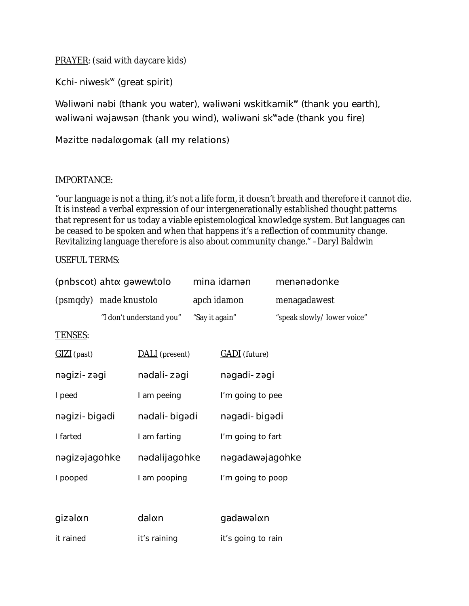PRAYER: (said with daycare kids)

Kchi-niweskʷ (great spirit)

Wəliwəni nəbi (thank you water), wəliwəni wskitkamik<sup>w</sup> (thank you earth), wəliwəni wəjawsən (thank you wind), wəliwəni skʷəde (thank you fire)

## Məzitte nədalαgomak (all my relations)

## IMPORTANCE:

"our language is not a thing, it's not a life form, it doesn't breath and therefore it cannot die. It is instead a verbal expression of our intergenerationally established thought patterns that represent for us today a viable epistemological knowledge system. But languages can be ceased to be spoken and when that happens it's a reflection of community change. Revitalizing language therefore is also about community change." –Daryl Baldwin

## USEFUL TERMS:

| (pnbscot) aht a gawewtolo |                          | mina idaman    |                      | menanadonke                 |
|---------------------------|--------------------------|----------------|----------------------|-----------------------------|
| (psmqdy) made knustolo    |                          |                | apch idamon          | menagadawest                |
|                           | "I don't understand you" | "Say it again" |                      | "speak slowly/ lower voice" |
| <b>TENSES:</b>            |                          |                |                      |                             |
| GIZI (past)               | DALI (present)           |                | <b>GADI</b> (future) |                             |
| nəgizi-zəgi               | nədali-zəgi              |                | nəgadi-zəgi          |                             |
| I peed                    | I am peeing              |                | I'm going to pee     |                             |
| nəgizi-bigədi             | nədali-bigədi            |                | nəgadi-bigədi        |                             |
| I farted                  | I am farting             |                | I'm going to fart    |                             |
| nagizajagohke             | nadalijagohke            |                | nagadawajagohke      |                             |
| I pooped                  | I am pooping             |                | I'm going to poop    |                             |
|                           |                          |                |                      |                             |
| gizəlαn                   | dalon                    |                | gadawalon            |                             |
| it rained                 | it's raining             |                | it's going to rain   |                             |